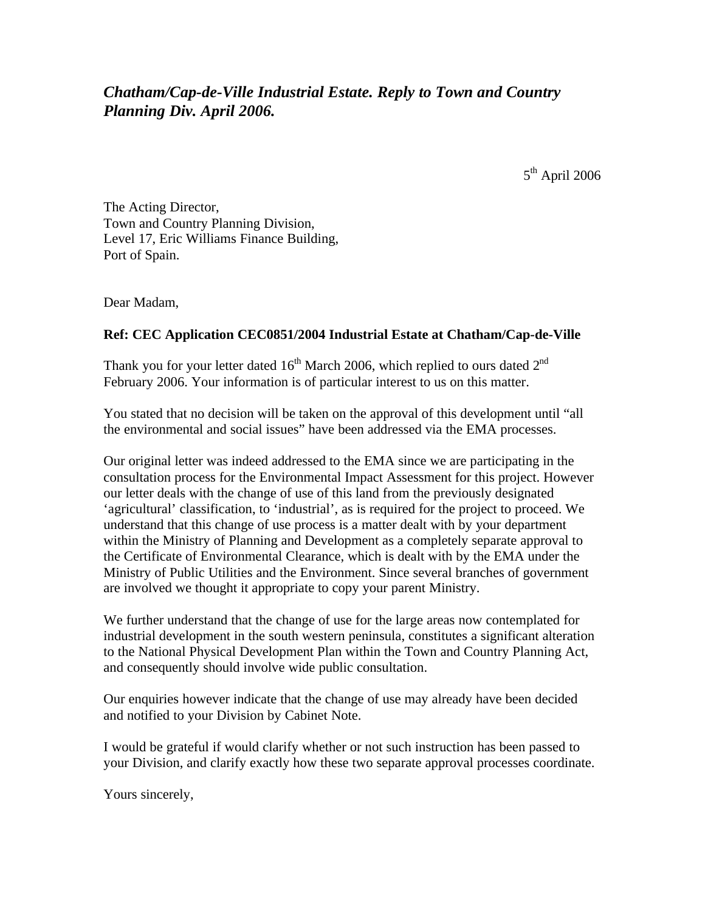## *Chatham/Cap-de-Ville Industrial Estate. Reply to Town and Country Planning Div. April 2006.*

5<sup>th</sup> April 2006

The Acting Director, Town and Country Planning Division, Level 17, Eric Williams Finance Building, Port of Spain.

Dear Madam,

## **Ref: CEC Application CEC0851/2004 Industrial Estate at Chatham/Cap-de-Ville**

Thank you for your letter dated  $16<sup>th</sup>$  March 2006, which replied to ours dated  $2<sup>nd</sup>$ February 2006. Your information is of particular interest to us on this matter.

You stated that no decision will be taken on the approval of this development until "all the environmental and social issues" have been addressed via the EMA processes.

Our original letter was indeed addressed to the EMA since we are participating in the consultation process for the Environmental Impact Assessment for this project. However our letter deals with the change of use of this land from the previously designated 'agricultural' classification, to 'industrial', as is required for the project to proceed. We understand that this change of use process is a matter dealt with by your department within the Ministry of Planning and Development as a completely separate approval to the Certificate of Environmental Clearance, which is dealt with by the EMA under the Ministry of Public Utilities and the Environment. Since several branches of government are involved we thought it appropriate to copy your parent Ministry.

We further understand that the change of use for the large areas now contemplated for industrial development in the south western peninsula, constitutes a significant alteration to the National Physical Development Plan within the Town and Country Planning Act, and consequently should involve wide public consultation.

Our enquiries however indicate that the change of use may already have been decided and notified to your Division by Cabinet Note.

I would be grateful if would clarify whether or not such instruction has been passed to your Division, and clarify exactly how these two separate approval processes coordinate.

Yours sincerely,